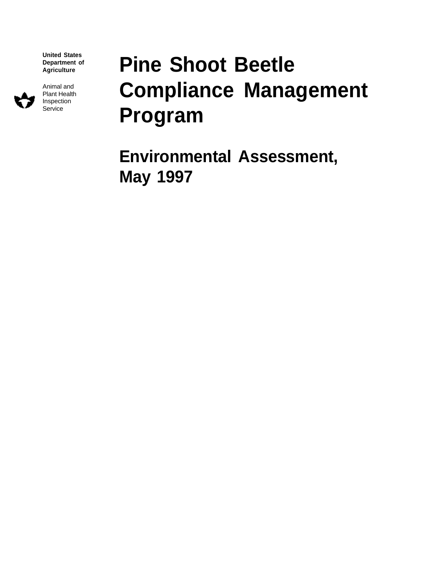**United States Department of Agriculture**



Animal and Plant Health Inspection Service

# **Pine Shoot Beetle Compliance Management Program**

**Environmental Assessment, May 1997**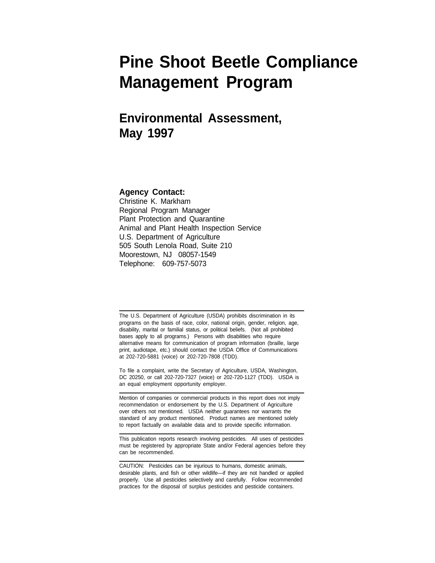## **Pine Shoot Beetle Compliance Management Program**

## **Environmental Assessment, May 1997**

#### **Agency Contact:**

 $\overline{a}$ 

L

Christine K. Markham Regional Program Manager Plant Protection and Quarantine Animal and Plant Health Inspection Service U.S. Department of Agriculture 505 South Lenola Road, Suite 210 Moorestown, NJ 08057-1549 Telephone: 609-757-5073

The U.S. Department of Agriculture (USDA) prohibits discrimination in its programs on the basis of race, color, national origin, gender, religion, age, disability, marital or familial status, or political beliefs. (Not all prohibited bases apply to all programs.) Persons with disabilities who require alternative means for communication of program information (braille, large print, audiotape, etc.) should contact the USDA Office of Communications at 202-720-5881 (voice) or 202-720-7808 (TDD).

To file a complaint, write the Secretary of Agriculture, USDA, Washington, DC 20250, or call 202-720-7327 (voice) or 202-720-1127 (TDD). USDA is an equal employment opportunity employer.

Mention of companies or commercial products in this report does not imply recommendation or endorsement by the U.S. Department of Agriculture over others not mentioned. USDA neither guarantees nor warrants the standard of any product mentioned. Product names are mentioned solely to report factually on available data and to provide specific information.

This publication reports research involving pesticides. All uses of pesticides must be registered by appropriate State and/or Federal agencies before they can be recommended.

CAUTION: Pesticides can be injurious to humans, domestic animals, desirable plants, and fish or other wildlife—if they are not handled or applied properly. Use all pesticides selectively and carefully. Follow recommended practices for the disposal of surplus pesticides and pesticide containers.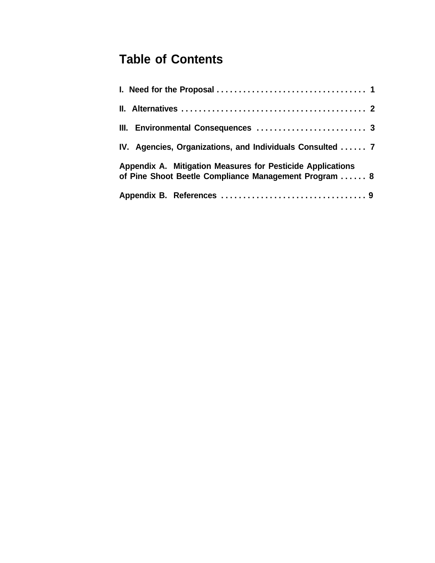## **Table of Contents**

| IV. Agencies, Organizations, and Individuals Consulted  7                                                           |  |  |  |  |
|---------------------------------------------------------------------------------------------------------------------|--|--|--|--|
| Appendix A. Mitigation Measures for Pesticide Applications<br>of Pine Shoot Beetle Compliance Management Program  8 |  |  |  |  |
|                                                                                                                     |  |  |  |  |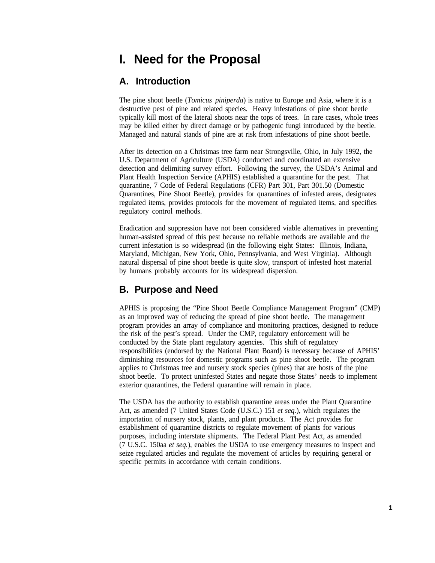## **I. Need for the Proposal**

#### **A. Introduction**

The pine shoot beetle (*Tomicus piniperda*) is native to Europe and Asia, where it is a destructive pest of pine and related species. Heavy infestations of pine shoot beetle typically kill most of the lateral shoots near the tops of trees. In rare cases, whole trees may be killed either by direct damage or by pathogenic fungi introduced by the beetle. Managed and natural stands of pine are at risk from infestations of pine shoot beetle.

After its detection on a Christmas tree farm near Strongsville, Ohio, in July 1992, the U.S. Department of Agriculture (USDA) conducted and coordinated an extensive detection and delimiting survey effort. Following the survey, the USDA's Animal and Plant Health Inspection Service (APHIS) established a quarantine for the pest. That quarantine, 7 Code of Federal Regulations (CFR) Part 301, Part 301.50 (Domestic Quarantines, Pine Shoot Beetle), provides for quarantines of infested areas, designates regulated items, provides protocols for the movement of regulated items, and specifies regulatory control methods.

Eradication and suppression have not been considered viable alternatives in preventing human-assisted spread of this pest because no reliable methods are available and the current infestation is so widespread (in the following eight States: Illinois, Indiana, Maryland, Michigan, New York, Ohio, Pennsylvania, and West Virginia). Although natural dispersal of pine shoot beetle is quite slow, transport of infested host material by humans probably accounts for its widespread dispersion.

#### **B. Purpose and Need**

APHIS is proposing the "Pine Shoot Beetle Compliance Management Program" (CMP) as an improved way of reducing the spread of pine shoot beetle. The management program provides an array of compliance and monitoring practices, designed to reduce the risk of the pest's spread. Under the CMP, regulatory enforcement will be conducted by the State plant regulatory agencies. This shift of regulatory responsibilities (endorsed by the National Plant Board) is necessary because of APHIS' diminishing resources for domestic programs such as pine shoot beetle. The program applies to Christmas tree and nursery stock species (pines) that are hosts of the pine shoot beetle. To protect uninfested States and negate those States' needs to implement exterior quarantines, the Federal quarantine will remain in place.

The USDA has the authority to establish quarantine areas under the Plant Quarantine Act, as amended (7 United States Code (U.S.C.) 151 *et seq.*), which regulates the importation of nursery stock, plants, and plant products. The Act provides for establishment of quarantine districts to regulate movement of plants for various purposes, including interstate shipments. The Federal Plant Pest Act, as amended (7 U.S.C. 150aa *et seq.*), enables the USDA to use emergency measures to inspect and seize regulated articles and regulate the movement of articles by requiring general or specific permits in accordance with certain conditions.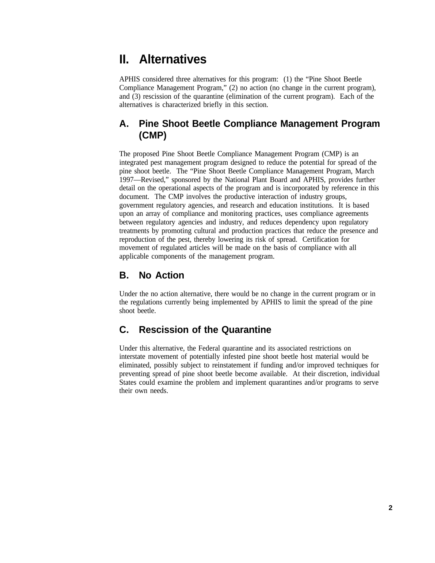## **II. Alternatives**

APHIS considered three alternatives for this program: (1) the "Pine Shoot Beetle Compliance Management Program," (2) no action (no change in the current program), and (3) rescission of the quarantine (elimination of the current program). Each of the alternatives is characterized briefly in this section.

#### **A. Pine Shoot Beetle Compliance Management Program (CMP)**

The proposed Pine Shoot Beetle Compliance Management Program (CMP) is an integrated pest management program designed to reduce the potential for spread of the pine shoot beetle. The "Pine Shoot Beetle Compliance Management Program, March 1997—Revised," sponsored by the National Plant Board and APHIS, provides further detail on the operational aspects of the program and is incorporated by reference in this document. The CMP involves the productive interaction of industry groups, government regulatory agencies, and research and education institutions. It is based upon an array of compliance and monitoring practices, uses compliance agreements between regulatory agencies and industry, and reduces dependency upon regulatory treatments by promoting cultural and production practices that reduce the presence and reproduction of the pest, thereby lowering its risk of spread. Certification for movement of regulated articles will be made on the basis of compliance with all applicable components of the management program.

#### **B. No Action**

Under the no action alternative, there would be no change in the current program or in the regulations currently being implemented by APHIS to limit the spread of the pine shoot beetle.

#### **C. Rescission of the Quarantine**

Under this alternative, the Federal quarantine and its associated restrictions on interstate movement of potentially infested pine shoot beetle host material would be eliminated, possibly subject to reinstatement if funding and/or improved techniques for preventing spread of pine shoot beetle become available. At their discretion, individual States could examine the problem and implement quarantines and/or programs to serve their own needs.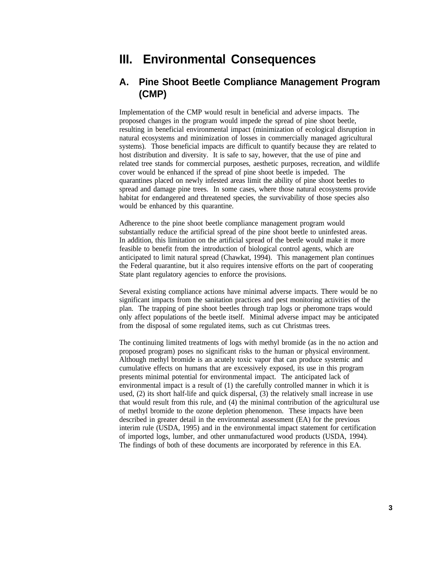### **III. Environmental Consequences**

#### **A. Pine Shoot Beetle Compliance Management Program (CMP)**

Implementation of the CMP would result in beneficial and adverse impacts. The proposed changes in the program would impede the spread of pine shoot beetle, resulting in beneficial environmental impact (minimization of ecological disruption in natural ecosystems and minimization of losses in commercially managed agricultural systems). Those beneficial impacts are difficult to quantify because they are related to host distribution and diversity. It is safe to say, however, that the use of pine and related tree stands for commercial purposes, aesthetic purposes, recreation, and wildlife cover would be enhanced if the spread of pine shoot beetle is impeded. The quarantines placed on newly infested areas limit the ability of pine shoot beetles to spread and damage pine trees. In some cases, where those natural ecosystems provide habitat for endangered and threatened species, the survivability of those species also would be enhanced by this quarantine.

Adherence to the pine shoot beetle compliance management program would substantially reduce the artificial spread of the pine shoot beetle to uninfested areas. In addition, this limitation on the artificial spread of the beetle would make it more feasible to benefit from the introduction of biological control agents, which are anticipated to limit natural spread (Chawkat, 1994). This management plan continues the Federal quarantine, but it also requires intensive efforts on the part of cooperating State plant regulatory agencies to enforce the provisions.

Several existing compliance actions have minimal adverse impacts. There would be no significant impacts from the sanitation practices and pest monitoring activities of the plan. The trapping of pine shoot beetles through trap logs or pheromone traps would only affect populations of the beetle itself. Minimal adverse impact may be anticipated from the disposal of some regulated items, such as cut Christmas trees.

The continuing limited treatments of logs with methyl bromide (as in the no action and proposed program) poses no significant risks to the human or physical environment. Although methyl bromide is an acutely toxic vapor that can produce systemic and cumulative effects on humans that are excessively exposed, its use in this program presents minimal potential for environmental impact. The anticipated lack of environmental impact is a result of (1) the carefully controlled manner in which it is used, (2) its short half-life and quick dispersal, (3) the relatively small increase in use that would result from this rule, and (4) the minimal contribution of the agricultural use of methyl bromide to the ozone depletion phenomenon. These impacts have been described in greater detail in the environmental assessment (EA) for the previous interim rule (USDA, 1995) and in the environmental impact statement for certification of imported logs, lumber, and other unmanufactured wood products (USDA, 1994). The findings of both of these documents are incorporated by reference in this EA.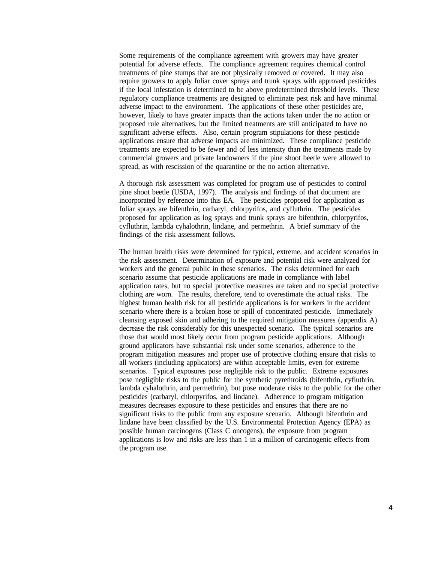Some requirements of the compliance agreement with growers may have greater potential for adverse effects. The compliance agreement requires chemical control treatments of pine stumps that are not physically removed or covered. It may also require growers to apply foliar cover sprays and trunk sprays with approved pesticides if the local infestation is determined to be above predetermined threshold levels. These regulatory compliance treatments are designed to eliminate pest risk and have minimal adverse impact to the environment. The applications of these other pesticides are, however, likely to have greater impacts than the actions taken under the no action or proposed rule alternatives, but the limited treatments are still anticipated to have no significant adverse effects. Also, certain program stipulations for these pesticide applications ensure that adverse impacts are minimized. These compliance pesticide treatments are expected to be fewer and of less intensity than the treatments made by commercial growers and private landowners if the pine shoot beetle were allowed to spread, as with rescission of the quarantine or the no action alternative.

A thorough risk assessment was completed for program use of pesticides to control pine shoot beetle (USDA, 1997). The analysis and findings of that document are incorporated by reference into this EA. The pesticides proposed for application as foliar sprays are bifenthrin, carbaryl, chlorpyrifos, and cyfluthrin. The pesticides proposed for application as log sprays and trunk sprays are bifenthrin, chlorpyrifos, cyfluthrin, lambda cyhalothrin, lindane, and permethrin. A brief summary of the findings of the risk assessment follows.

The human health risks were determined for typical, extreme, and accident scenarios in the risk assessment. Determination of exposure and potential risk were analyzed for workers and the general public in these scenarios. The risks determined for each scenario assume that pesticide applications are made in compliance with label application rates, but no special protective measures are taken and no special protective clothing are worn. The results, therefore, tend to overestimate the actual risks. The highest human health risk for all pesticide applications is for workers in the accident scenario where there is a broken hose or spill of concentrated pesticide. Immediately cleansing exposed skin and adhering to the required mitigation measures (appendix A) decrease the risk considerably for this unexpected scenario. The typical scenarios are those that would most likely occur from program pesticide applications. Although ground applicators have substantial risk under some scenarios, adherence to the program mitigation measures and proper use of protective clothing ensure that risks to all workers (including applicators) are within acceptable limits, even for extreme scenarios. Typical exposures pose negligible risk to the public. Extreme exposures pose negligible risks to the public for the synthetic pyrethroids (bifenthrin, cyfluthrin, lambda cyhalothrin, and permethrin), but pose moderate risks to the public for the other pesticides (carbaryl, chlorpyrifos, and lindane). Adherence to program mitigation measures decreases exposure to these pesticides and ensures that there are no significant risks to the public from any exposure scenario. Although bifenthrin and lindane have been classified by the U.S. Environmental Protection Agency (EPA) as possible human carcinogens (Class C oncogens), the exposure from program applications is low and risks are less than 1 in a million of carcinogenic effects from the program use.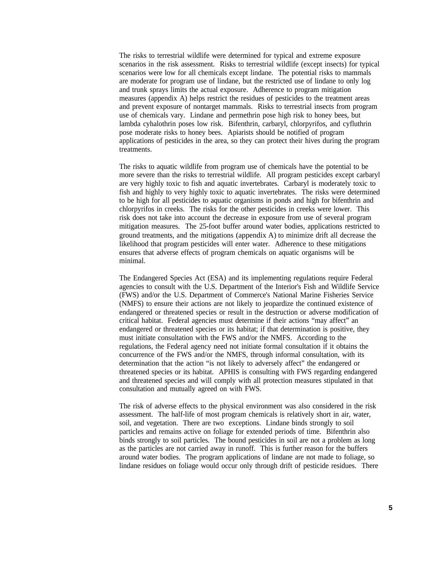The risks to terrestrial wildlife were determined for typical and extreme exposure scenarios in the risk assessment. Risks to terrestrial wildlife (except insects) for typical scenarios were low for all chemicals except lindane. The potential risks to mammals are moderate for program use of lindane, but the restricted use of lindane to only log and trunk sprays limits the actual exposure. Adherence to program mitigation measures (appendix A) helps restrict the residues of pesticides to the treatment areas and prevent exposure of nontarget mammals. Risks to terrestrial insects from program use of chemicals vary. Lindane and permethrin pose high risk to honey bees, but lambda cyhalothrin poses low risk. Bifenthrin, carbaryl, chlorpyrifos, and cyfluthrin pose moderate risks to honey bees. Apiarists should be notified of program applications of pesticides in the area, so they can protect their hives during the program treatments.

The risks to aquatic wildlife from program use of chemicals have the potential to be more severe than the risks to terrestrial wildlife. All program pesticides except carbaryl are very highly toxic to fish and aquatic invertebrates. Carbaryl is moderately toxic to fish and highly to very highly toxic to aquatic invertebrates. The risks were determined to be high for all pesticides to aquatic organisms in ponds and high for bifenthrin and chlorpyrifos in creeks. The risks for the other pesticides in creeks were lower. This risk does not take into account the decrease in exposure from use of several program mitigation measures. The 25-foot buffer around water bodies, applications restricted to ground treatments, and the mitigations (appendix A) to minimize drift all decrease the likelihood that program pesticides will enter water. Adherence to these mitigations ensures that adverse effects of program chemicals on aquatic organisms will be minimal.

The Endangered Species Act (ESA) and its implementing regulations require Federal agencies to consult with the U.S. Department of the Interior's Fish and Wildlife Service (FWS) and/or the U.S. Department of Commerce's National Marine Fisheries Service (NMFS) to ensure their actions are not likely to jeopardize the continued existence of endangered or threatened species or result in the destruction or adverse modification of critical habitat. Federal agencies must determine if their actions "may affect" an endangered or threatened species or its habitat; if that determination is positive, they must initiate consultation with the FWS and/or the NMFS. According to the regulations, the Federal agency need not initiate formal consultation if it obtains the concurrence of the FWS and/or the NMFS, through informal consultation, with its determination that the action "is not likely to adversely affect" the endangered or threatened species or its habitat. APHIS is consulting with FWS regarding endangered and threatened species and will comply with all protection measures stipulated in that consultation and mutually agreed on with FWS.

The risk of adverse effects to the physical environment was also considered in the risk assessment. The half-life of most program chemicals is relatively short in air, water, soil, and vegetation. There are two exceptions. Lindane binds strongly to soil particles and remains active on foliage for extended periods of time. Bifenthrin also binds strongly to soil particles. The bound pesticides in soil are not a problem as long as the particles are not carried away in runoff. This is further reason for the buffers around water bodies. The program applications of lindane are not made to foliage, so lindane residues on foliage would occur only through drift of pesticide residues. There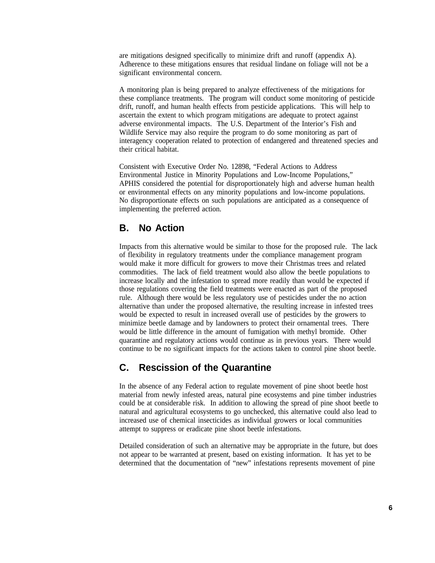are mitigations designed specifically to minimize drift and runoff (appendix A). Adherence to these mitigations ensures that residual lindane on foliage will not be a significant environmental concern.

A monitoring plan is being prepared to analyze effectiveness of the mitigations for these compliance treatments. The program will conduct some monitoring of pesticide drift, runoff, and human health effects from pesticide applications. This will help to ascertain the extent to which program mitigations are adequate to protect against adverse environmental impacts. The U.S. Department of the Interior's Fish and Wildlife Service may also require the program to do some monitoring as part of interagency cooperation related to protection of endangered and threatened species and their critical habitat.

Consistent with Executive Order No. 12898, "Federal Actions to Address Environmental Justice in Minority Populations and Low-Income Populations," APHIS considered the potential for disproportionately high and adverse human health or environmental effects on any minority populations and low-income populations. No disproportionate effects on such populations are anticipated as a consequence of implementing the preferred action.

#### **B. No Action**

Impacts from this alternative would be similar to those for the proposed rule. The lack of flexibility in regulatory treatments under the compliance management program would make it more difficult for growers to move their Christmas trees and related commodities. The lack of field treatment would also allow the beetle populations to increase locally and the infestation to spread more readily than would be expected if those regulations covering the field treatments were enacted as part of the proposed rule. Although there would be less regulatory use of pesticides under the no action alternative than under the proposed alternative, the resulting increase in infested trees would be expected to result in increased overall use of pesticides by the growers to minimize beetle damage and by landowners to protect their ornamental trees. There would be little difference in the amount of fumigation with methyl bromide. Other quarantine and regulatory actions would continue as in previous years. There would continue to be no significant impacts for the actions taken to control pine shoot beetle.

#### **C. Rescission of the Quarantine**

In the absence of any Federal action to regulate movement of pine shoot beetle host material from newly infested areas, natural pine ecosystems and pine timber industries could be at considerable risk. In addition to allowing the spread of pine shoot beetle to natural and agricultural ecosystems to go unchecked, this alternative could also lead to increased use of chemical insecticides as individual growers or local communities attempt to suppress or eradicate pine shoot beetle infestations.

Detailed consideration of such an alternative may be appropriate in the future, but does not appear to be warranted at present, based on existing information. It has yet to be determined that the documentation of "new" infestations represents movement of pine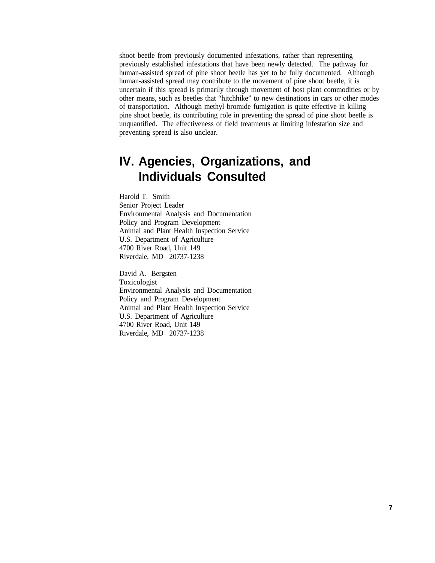shoot beetle from previously documented infestations, rather than representing previously established infestations that have been newly detected. The pathway for human-assisted spread of pine shoot beetle has yet to be fully documented. Although human-assisted spread may contribute to the movement of pine shoot beetle, it is uncertain if this spread is primarily through movement of host plant commodities or by other means, such as beetles that "hitchhike" to new destinations in cars or other modes of transportation. Although methyl bromide fumigation is quite effective in killing pine shoot beetle, its contributing role in preventing the spread of pine shoot beetle is unquantified. The effectiveness of field treatments at limiting infestation size and preventing spread is also unclear.

## **IV. Agencies, Organizations, and Individuals Consulted**

Harold T. Smith Senior Project Leader Environmental Analysis and Documentation Policy and Program Development Animal and Plant Health Inspection Service U.S. Department of Agriculture 4700 River Road, Unit 149 Riverdale, MD 20737-1238

David A. Bergsten Toxicologist Environmental Analysis and Documentation Policy and Program Development Animal and Plant Health Inspection Service U.S. Department of Agriculture 4700 River Road, Unit 149 Riverdale, MD 20737-1238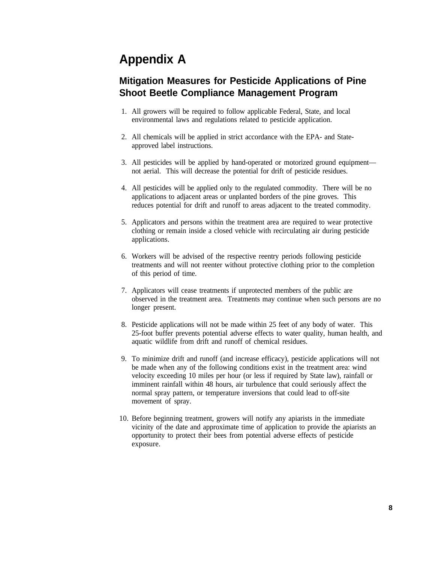## **Appendix A**

#### **Mitigation Measures for Pesticide Applications of Pine Shoot Beetle Compliance Management Program**

- 1. All growers will be required to follow applicable Federal, State, and local environmental laws and regulations related to pesticide application.
- 2. All chemicals will be applied in strict accordance with the EPA- and Stateapproved label instructions.
- 3. All pesticides will be applied by hand-operated or motorized ground equipment not aerial. This will decrease the potential for drift of pesticide residues.
- 4. All pesticides will be applied only to the regulated commodity. There will be no applications to adjacent areas or unplanted borders of the pine groves. This reduces potential for drift and runoff to areas adjacent to the treated commodity.
- 5. Applicators and persons within the treatment area are required to wear protective clothing or remain inside a closed vehicle with recirculating air during pesticide applications.
- 6. Workers will be advised of the respective reentry periods following pesticide treatments and will not reenter without protective clothing prior to the completion of this period of time.
- 7. Applicators will cease treatments if unprotected members of the public are observed in the treatment area. Treatments may continue when such persons are no longer present.
- 8. Pesticide applications will not be made within 25 feet of any body of water. This 25-foot buffer prevents potential adverse effects to water quality, human health, and aquatic wildlife from drift and runoff of chemical residues.
- 9. To minimize drift and runoff (and increase efficacy), pesticide applications will not be made when any of the following conditions exist in the treatment area: wind velocity exceeding 10 miles per hour (or less if required by State law), rainfall or imminent rainfall within 48 hours, air turbulence that could seriously affect the normal spray pattern, or temperature inversions that could lead to off-site movement of spray.
- 10. Before beginning treatment, growers will notify any apiarists in the immediate vicinity of the date and approximate time of application to provide the apiarists an opportunity to protect their bees from potential adverse effects of pesticide exposure.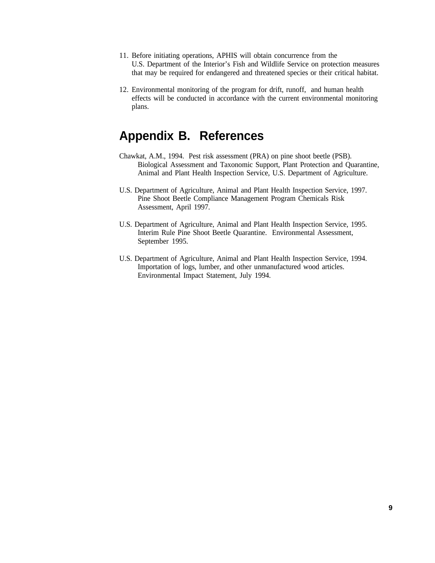- 11. Before initiating operations, APHIS will obtain concurrence from the U.S. Department of the Interior's Fish and Wildlife Service on protection measures that may be required for endangered and threatened species or their critical habitat.
- 12. Environmental monitoring of the program for drift, runoff, and human health effects will be conducted in accordance with the current environmental monitoring plans.

### **Appendix B. References**

- Chawkat, A.M., 1994. Pest risk assessment (PRA) on pine shoot beetle (PSB). Biological Assessment and Taxonomic Support, Plant Protection and Quarantine, Animal and Plant Health Inspection Service, U.S. Department of Agriculture.
- U.S. Department of Agriculture, Animal and Plant Health Inspection Service, 1997. Pine Shoot Beetle Compliance Management Program Chemicals Risk Assessment, April 1997.
- U.S. Department of Agriculture, Animal and Plant Health Inspection Service, 1995. Interim Rule Pine Shoot Beetle Quarantine. Environmental Assessment, September 1995.
- U.S. Department of Agriculture, Animal and Plant Health Inspection Service, 1994. Importation of logs, lumber, and other unmanufactured wood articles. Environmental Impact Statement, July 1994.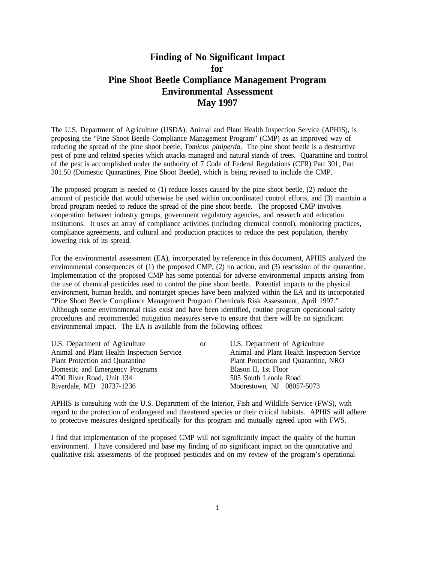#### **Finding of No Significant Impact for Pine Shoot Beetle Compliance Management Program Environmental Assessment May 1997**

The U.S. Department of Agriculture (USDA), Animal and Plant Health Inspection Service (APHIS), is proposing the "Pine Shoot Beetle Compliance Management Program" (CMP) as an improved way of reducing the spread of the pine shoot beetle, *Tomicus piniperda*. The pine shoot beetle is a destructive pest of pine and related species which attacks managed and natural stands of trees. Quarantine and control of the pest is accomplished under the authority of 7 Code of Federal Regulations (CFR) Part 301, Part 301.50 (Domestic Quarantines, Pine Shoot Beetle), which is being revised to include the CMP.

The proposed program is needed to (1) reduce losses caused by the pine shoot beetle, (2) reduce the amount of pesticide that would otherwise be used within uncoordinated control efforts, and (3) maintain a broad program needed to reduce the spread of the pine shoot beetle. The proposed CMP involves cooperation between industry groups, government regulatory agencies, and research and education institutions. It uses an array of compliance activities (including chemical control), monitoring practices, compliance agreements, and cultural and production practices to reduce the pest population, thereby lowering risk of its spread.

For the environmental assessment (EA), incorporated by reference in this document, APHIS analyzed the environmental consequences of (1) the proposed CMP, (2) no action, and (3) rescission of the quarantine. Implementation of the proposed CMP has some potential for adverse environmental impacts arising from the use of chemical pesticides used to control the pine shoot beetle. Potential impacts to the physical environment, human health, and nontarget species have been analyzed within the EA and its incorporated "Pine Shoot Beetle Compliance Management Program Chemicals Risk Assessment, April 1997." Although some environmental risks exist and have been identified, routine program operational safety procedures and recommended mitigation measures serve to ensure that there will be no significant environmental impact. The EA is available from the following offices:

| U.S. Department of Agriculture             | <sub>or</sub>         | U.S. Department of Agriculture             |
|--------------------------------------------|-----------------------|--------------------------------------------|
| Animal and Plant Health Inspection Service |                       | Animal and Plant Health Inspection Service |
| Plant Protection and Quarantine            |                       | Plant Protection and Quarantine, NRO       |
| Domestic and Emergency Programs            |                       | Blason II, 1st Floor                       |
| 4700 River Road, Unit 134                  | 505 South Lenola Road |                                            |
| Riverdale, MD 20737-1236                   |                       | Moorestown, NJ 08057-5073                  |

APHIS is consulting with the U.S. Department of the Interior, Fish and Wildlife Service (FWS), with regard to the protection of endangered and threatened species or their critical habitats. APHIS will adhere to protective measures designed specifically for this program and mutually agreed upon with FWS.

I find that implementation of the proposed CMP will not significantly impact the quality of the human environment. I have considered and base my finding of no significant impact on the quantitative and qualitative risk assessments of the proposed pesticides and on my review of the program's operational